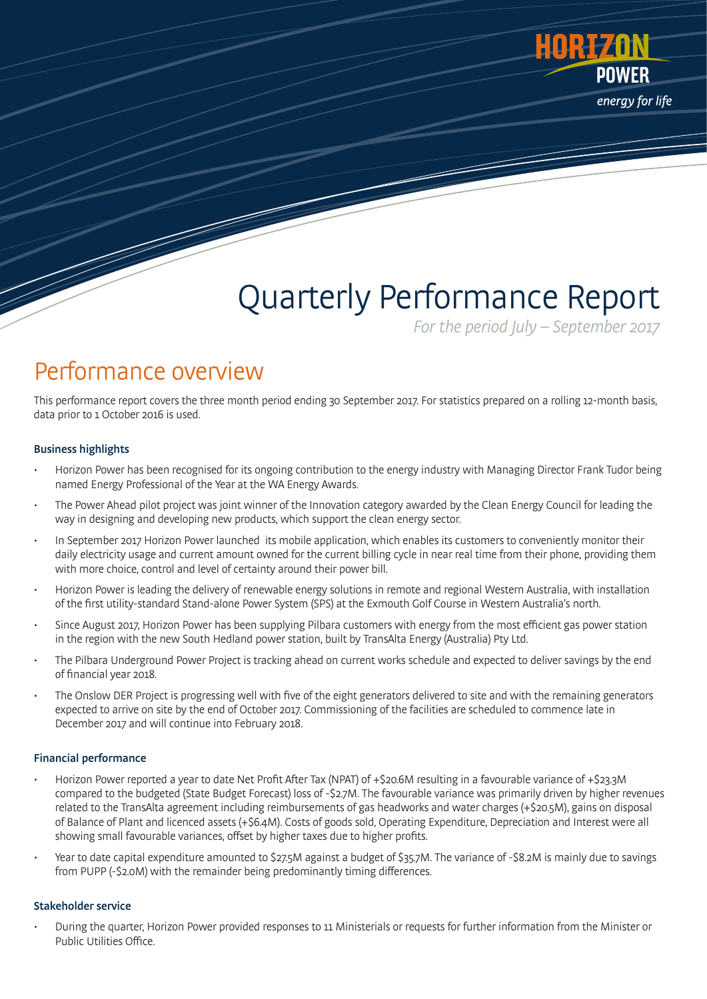

# Quarterly Performance Report

For the period July – September 2017

### Performance overview

This performance report covers the three month period ending 30 September 2017. For statistics prepared on a rolling 12-month basis, data prior to 1 October 2016 is used.

### Business highlights

- Horizon Power has been recognised for its ongoing contribution to the energy industry with Managing Director Frank Tudor being named Energy Professional of the Year at the WA Energy Awards.
- The Power Ahead pilot project was joint winner of the Innovation category awarded by the Clean Energy Council for leading the way in designing and developing new products, which support the clean energy sector.
- In September 2017 Horizon Power launched its mobile application, which enables its customers to conveniently monitor their daily electricity usage and current amount owned for the current billing cycle in near real time from their phone, providing them with more choice, control and level of certainty around their power bill.
- Horizon Power is leading the delivery of renewable energy solutions in remote and regional Western Australia, with installation of the first utility-standard Stand-alone Power System (SPS) at the Exmouth Golf Course in Western Australia's north.
- Since August 2017, Horizon Power has been supplying Pilbara customers with energy from the most efficient gas power station in the region with the new South Hedland power station, built by TransAlta Energy (Australia) Pty Ltd.
- The Pilbara Underground Power Project is tracking ahead on current works schedule and expected to deliver savings by the end of financial year 2018.
- The Onslow DER Project is progressing well with five of the eight generators delivered to site and with the remaining generators expected to arrive on site by the end of October 2017. Commissioning of the facilities are scheduled to commence late in December 2017 and will continue into February 2018.

### Financial performance

- Horizon Power reported a year to date Net Profit After Tax (NPAT) of +\$20.6M resulting in a favourable variance of +\$23.3M compared to the budgeted (State Budget Forecast) loss of -\$2.7M. The favourable variance was primarily driven by higher revenues related to the TransAlta agreement including reimbursements of gas headworks and water charges (+\$20.5M), gains on disposal of Balance of Plant and licenced assets (+\$6.4M). Costs of goods sold, Operating Expenditure, Depreciation and Interest were all showing small favourable variances, offset by higher taxes due to higher profits.
- Year to date capital expenditure amounted to \$27.5M against a budget of \$35.7M. The variance of -\$8.2M is mainly due to savings from PUPP (-\$2.0M) with the remainder being predominantly timing differences.

### Stakeholder service

• During the quarter, Horizon Power provided responses to 11 Ministerials or requests for further information from the Minister or Public Utilities Office.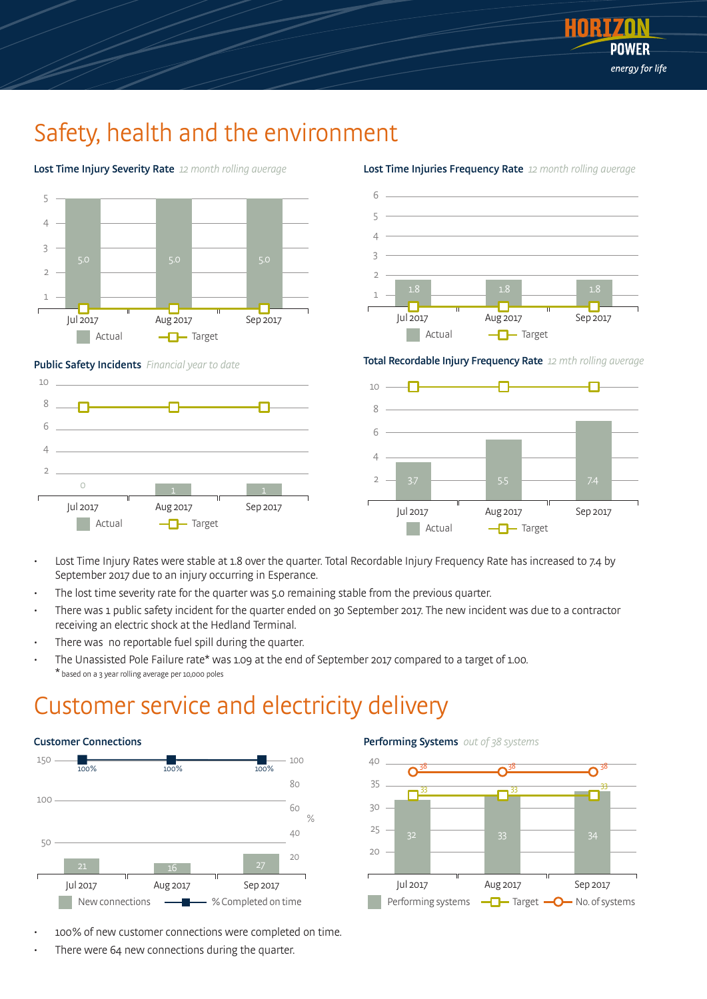

### Safety, health and the environment



Lost Time Injury Severity Rate 12 month rolling average



Lost Time Injuries Frequency Rate 12 month rolling average

Public Safety Incidents Financial year to date







- Lost Time Injury Rates were stable at 1.8 over the quarter. Total Recordable Injury Frequency Rate has increased to 7.4 by September 2017 due to an injury occurring in Esperance.
- The lost time severity rate for the quarter was 5.0 remaining stable from the previous quarter.
- There was 1 public safety incident for the quarter ended on 30 September 2017. The new incident was due to a contractor receiving an electric shock at the Hedland Terminal.
- There was no reportable fuel spill during the quarter.
- The Unassisted Pole Failure rate\* was 1.09 at the end of September 2017 compared to a target of 1.00. \* based on a 3 year rolling average per 10,000 poles

### Customer service and electricity delivery



- 100% of new customer connections were completed on time.
- There were 64 new connections during the quarter.

#### Performing Systems out of 38 systems

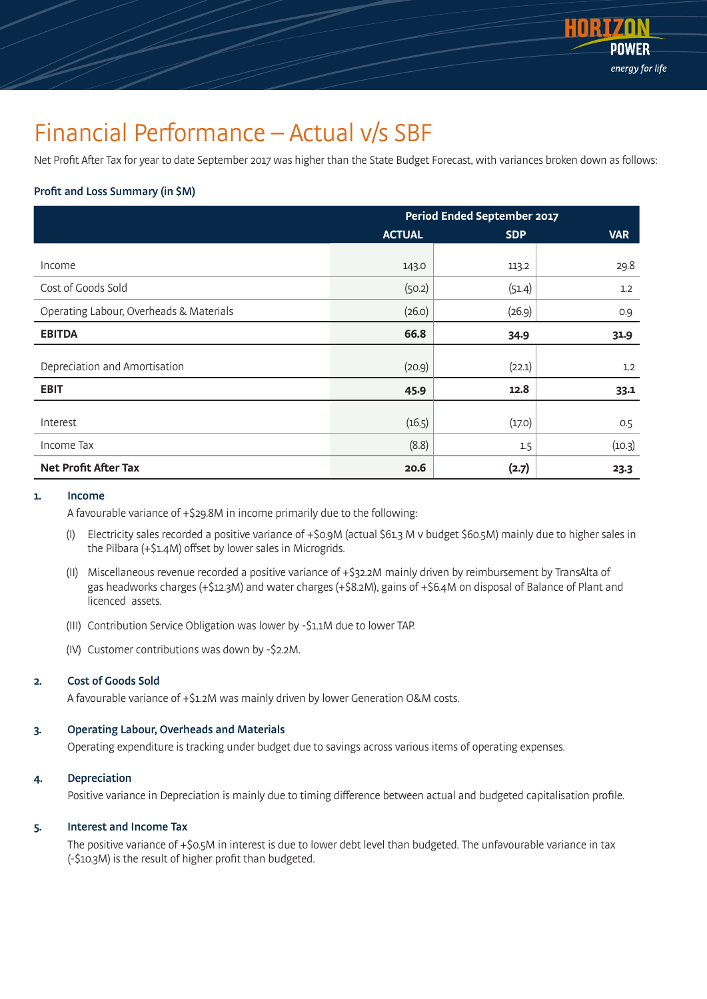

### Financial Performance – Actual v/s SBF

Net Profit After Tax for year to date September 2017 was higher than the State Budget Forecast, with variances broken down as follows:

### Profit and Loss Summary (in \$M)

|                                         | <b>Period Ended September 2017</b> |            |            |  |
|-----------------------------------------|------------------------------------|------------|------------|--|
|                                         | <b>ACTUAL</b>                      | <b>SDP</b> | <b>VAR</b> |  |
|                                         |                                    |            |            |  |
| Income                                  | 143.0                              | 113.2      | 29.8       |  |
| Cost of Goods Sold                      | (50.2)                             | (51.4)     | 1.2        |  |
| Operating Labour, Overheads & Materials | (26.0)                             | (26.9)     | 0.9        |  |
| <b>EBITDA</b>                           | 66.8                               | 34.9       | 31.9       |  |
| Depreciation and Amortisation           | (20.9)                             | (22.1)     | 1.2        |  |
| <b>EBIT</b>                             | 45.9                               | 12.8       | 33.1       |  |
|                                         |                                    |            |            |  |
| Interest                                | (16.5)                             | (17.0)     | 0.5        |  |
| Income Tax                              | (8.8)                              | 1.5        | (10.3)     |  |
| <b>Net Profit After Tax</b>             | 20.6                               | (2.7)      | 23.3       |  |

#### 1. Income

A favourable variance of +\$29.8M in income primarily due to the following:

- (I) Electricity sales recorded a positive variance of +\$0.9M (actual \$61.3 M v budget \$60.5M) mainly due to higher sales in the Pilbara (+\$1.4M) offset by lower sales in Microgrids.
- (II) Miscellaneous revenue recorded a positive variance of +\$32.2M mainly driven by reimbursement by TransAlta of gas headworks charges (+\$12.3M) and water charges (+\$8.2M), gains of +\$6.4M on disposal of Balance of Plant and licenced assets.
- (III) Contribution Service Obligation was lower by -\$1.1M due to lower TAP.
- (IV) Customer contributions was down by -\$2.2M.

### 2. Cost of Goods Sold

A favourable variance of +\$1.2M was mainly driven by lower Generation O&M costs.

#### 3. Operating Labour, Overheads and Materials

Operating expenditure is tracking under budget due to savings across various items of operating expenses.

#### 4. Depreciation

Positive variance in Depreciation is mainly due to timing difference between actual and budgeted capitalisation profile.

### 5. Interest and Income Tax

 The positive variance of +\$0.5M in interest is due to lower debt level than budgeted. The unfavourable variance in tax (-\$10.3M) is the result of higher profit than budgeted.